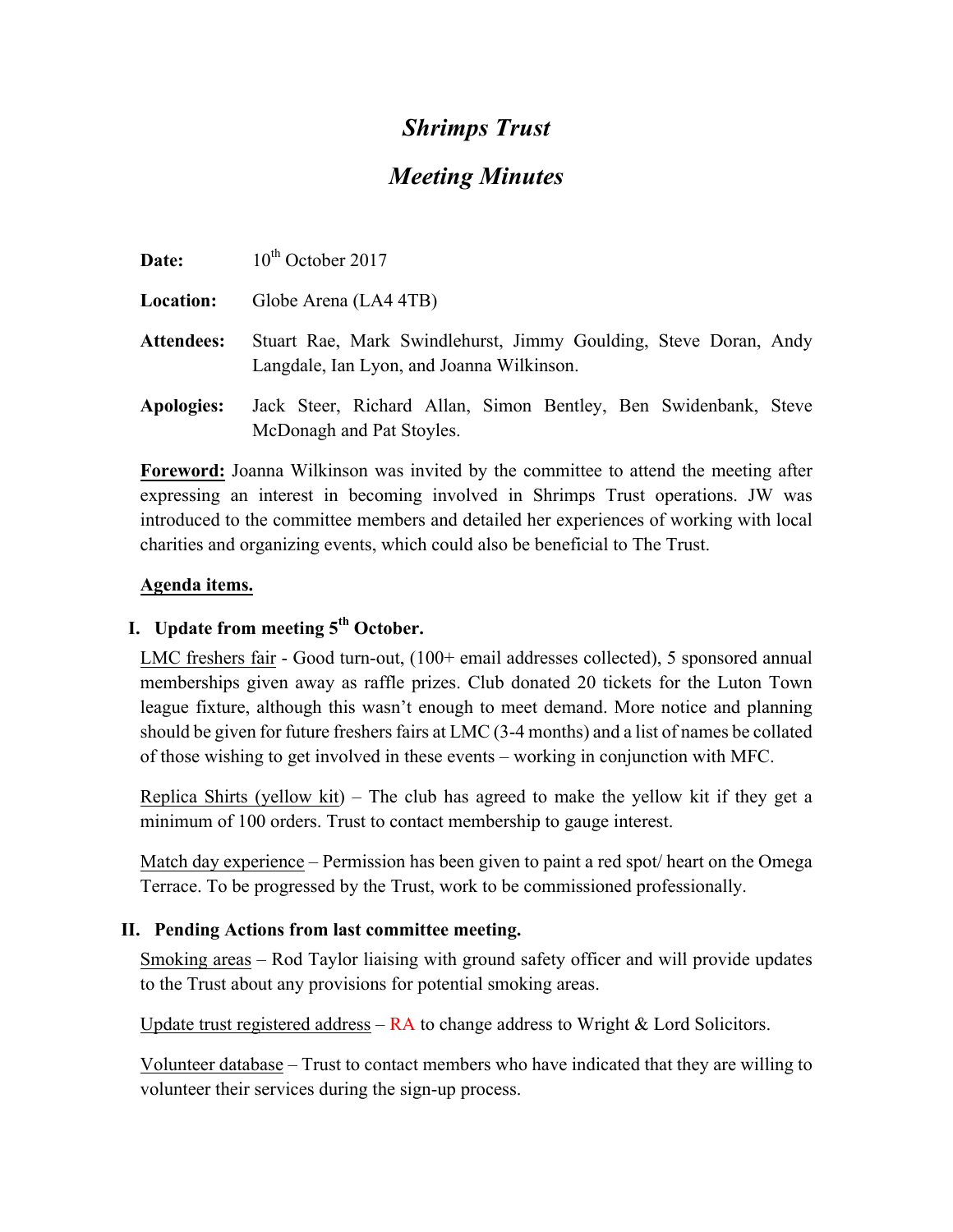## *Shrimps Trust*

# *Meeting Minutes*

| Date:             | $10th$ October 2017                                                                                           |
|-------------------|---------------------------------------------------------------------------------------------------------------|
| <b>Location:</b>  | Globe Arena (LA4 4TB)                                                                                         |
| <b>Attendees:</b> | Stuart Rae, Mark Swindlehurst, Jimmy Goulding, Steve Doran, Andy<br>Langdale, Ian Lyon, and Joanna Wilkinson. |
| <b>Apologies:</b> | Jack Steer, Richard Allan, Simon Bentley, Ben Swidenbank, Steve<br>McDonagh and Pat Stoyles.                  |

**Foreword:** Joanna Wilkinson was invited by the committee to attend the meeting after expressing an interest in becoming involved in Shrimps Trust operations. JW was introduced to the committee members and detailed her experiences of working with local charities and organizing events, which could also be beneficial to The Trust.

## **Agenda items.**

## **I. Update from meeting 5th October.**

LMC freshers fair - Good turn-out, (100+ email addresses collected), 5 sponsored annual memberships given away as raffle prizes. Club donated 20 tickets for the Luton Town league fixture, although this wasn't enough to meet demand. More notice and planning should be given for future freshers fairs at LMC (3-4 months) and a list of names be collated of those wishing to get involved in these events – working in conjunction with MFC.

Replica Shirts (yellow kit) – The club has agreed to make the yellow kit if they get a minimum of 100 orders. Trust to contact membership to gauge interest.

Match day experience – Permission has been given to paint a red spot/ heart on the Omega Terrace. To be progressed by the Trust, work to be commissioned professionally.

## **II. Pending Actions from last committee meeting.**

Smoking areas – Rod Taylor liaising with ground safety officer and will provide updates to the Trust about any provisions for potential smoking areas.

Update trust registered address –  $RA$  to change address to Wright & Lord Solicitors.

Volunteer database – Trust to contact members who have indicated that they are willing to volunteer their services during the sign-up process.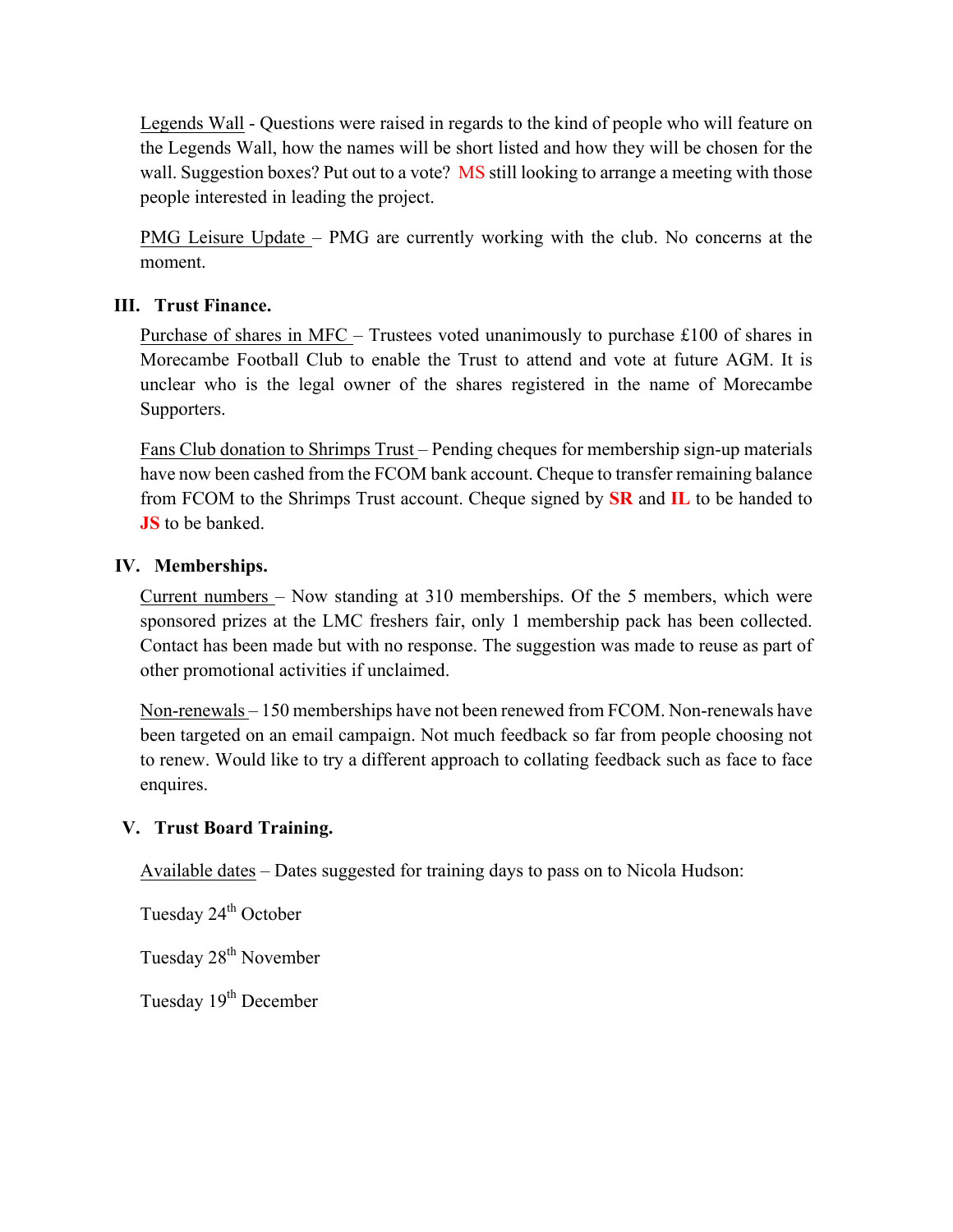Legends Wall - Questions were raised in regards to the kind of people who will feature on the Legends Wall, how the names will be short listed and how they will be chosen for the wall. Suggestion boxes? Put out to a vote? MS still looking to arrange a meeting with those people interested in leading the project.

PMG Leisure Update – PMG are currently working with the club. No concerns at the moment.

## **III. Trust Finance.**

Purchase of shares in MFC – Trustees voted unanimously to purchase £100 of shares in Morecambe Football Club to enable the Trust to attend and vote at future AGM. It is unclear who is the legal owner of the shares registered in the name of Morecambe Supporters.

Fans Club donation to Shrimps Trust – Pending cheques for membership sign-up materials have now been cashed from the FCOM bank account. Cheque to transfer remaining balance from FCOM to the Shrimps Trust account. Cheque signed by **SR** and **IL** to be handed to **JS** to be banked.

## **IV. Memberships.**

Current numbers – Now standing at 310 memberships. Of the 5 members, which were sponsored prizes at the LMC freshers fair, only 1 membership pack has been collected. Contact has been made but with no response. The suggestion was made to reuse as part of other promotional activities if unclaimed.

Non-renewals – 150 memberships have not been renewed from FCOM. Non-renewals have been targeted on an email campaign. Not much feedback so far from people choosing not to renew. Would like to try a different approach to collating feedback such as face to face enquires.

## **V. Trust Board Training.**

Available dates – Dates suggested for training days to pass on to Nicola Hudson:

Tuesday 24<sup>th</sup> October

Tuesday 28<sup>th</sup> November

Tuesday 19<sup>th</sup> December